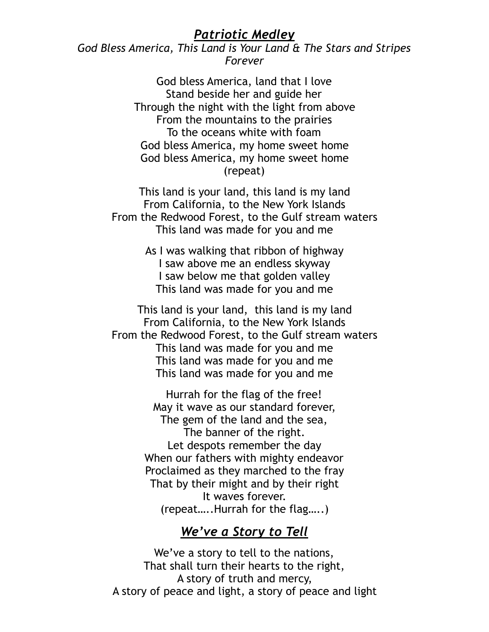## *Patriotic Medley*

*God Bless America, This Land is Your Land & The Stars and Stripes Forever* 

> God bless America, land that I love Stand beside her and guide her Through the night with the light from above From the mountains to the prairies To the oceans white with foam God bless America, my home sweet home God bless America, my home sweet home (repeat)

This land is your land, this land is my land From California, to the New York Islands From the Redwood Forest, to the Gulf stream waters This land was made for you and me

> As I was walking that ribbon of highway I saw above me an endless skyway I saw below me that golden valley This land was made for you and me

This land is your land, this land is my land From California, to the New York Islands From the Redwood Forest, to the Gulf stream waters This land was made for you and me This land was made for you and me This land was made for you and me

> Hurrah for the flag of the free! May it wave as our standard forever, The gem of the land and the sea, The banner of the right. Let despots remember the day When our fathers with mighty endeavor Proclaimed as they marched to the fray That by their might and by their right It waves forever. (repeat…..Hurrah for the flag…..)

## *We've a Story to Tell*

We've a story to tell to the nations, That shall turn their hearts to the right, A story of truth and mercy, A story of peace and light, a story of peace and light